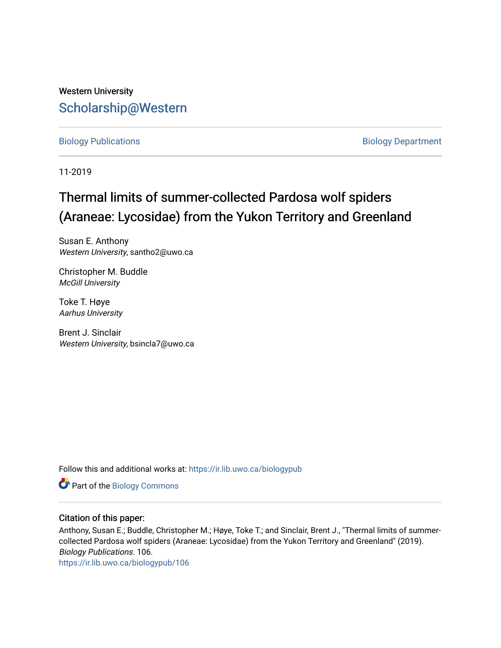## Western University [Scholarship@Western](https://ir.lib.uwo.ca/)

[Biology Publications](https://ir.lib.uwo.ca/biologypub) **Biology Department** 

11-2019

# Thermal limits of summer-collected Pardosa wolf spiders (Araneae: Lycosidae) from the Yukon Territory and Greenland

Susan E. Anthony Western University, santho2@uwo.ca

Christopher M. Buddle McGill University

Toke T. Høye Aarhus University

Brent J. Sinclair Western University, bsincla7@uwo.ca

Follow this and additional works at: [https://ir.lib.uwo.ca/biologypub](https://ir.lib.uwo.ca/biologypub?utm_source=ir.lib.uwo.ca%2Fbiologypub%2F106&utm_medium=PDF&utm_campaign=PDFCoverPages)

Part of the [Biology Commons](http://network.bepress.com/hgg/discipline/41?utm_source=ir.lib.uwo.ca%2Fbiologypub%2F106&utm_medium=PDF&utm_campaign=PDFCoverPages) 

### Citation of this paper:

Anthony, Susan E.; Buddle, Christopher M.; Høye, Toke T.; and Sinclair, Brent J., "Thermal limits of summercollected Pardosa wolf spiders (Araneae: Lycosidae) from the Yukon Territory and Greenland" (2019). Biology Publications. 106.

[https://ir.lib.uwo.ca/biologypub/106](https://ir.lib.uwo.ca/biologypub/106?utm_source=ir.lib.uwo.ca%2Fbiologypub%2F106&utm_medium=PDF&utm_campaign=PDFCoverPages)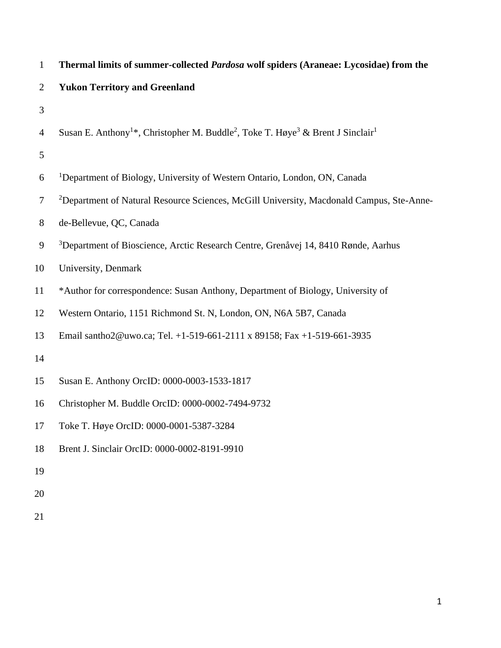| $\mathbf{1}$   | Thermal limits of summer-collected Pardosa wolf spiders (Araneae: Lycosidae) from the                                           |
|----------------|---------------------------------------------------------------------------------------------------------------------------------|
| $\overline{2}$ | <b>Yukon Territory and Greenland</b>                                                                                            |
| 3              |                                                                                                                                 |
| $\overline{4}$ | Susan E. Anthony <sup>1*</sup> , Christopher M. Buddle <sup>2</sup> , Toke T. Høye <sup>3</sup> & Brent J Sinclair <sup>1</sup> |
| 5              |                                                                                                                                 |
| 6              | <sup>1</sup> Department of Biology, University of Western Ontario, London, ON, Canada                                           |
| $\tau$         | <sup>2</sup> Department of Natural Resource Sciences, McGill University, Macdonald Campus, Ste-Anne-                            |
| 8              | de-Bellevue, QC, Canada                                                                                                         |
| 9              | <sup>3</sup> Department of Bioscience, Arctic Research Centre, Grenåvej 14, 8410 Rønde, Aarhus                                  |
| 10             | University, Denmark                                                                                                             |
| 11             | *Author for correspondence: Susan Anthony, Department of Biology, University of                                                 |
| 12             | Western Ontario, 1151 Richmond St. N, London, ON, N6A 5B7, Canada                                                               |
| 13             | Email santho2@uwo.ca; Tel. +1-519-661-2111 x 89158; Fax +1-519-661-3935                                                         |
| 14             |                                                                                                                                 |
| 15             | Susan E. Anthony OrcID: 0000-0003-1533-1817                                                                                     |
| 16             | Christopher M. Buddle OrcID: 0000-0002-7494-9732                                                                                |
| 17             | Toke T. Høye OrcID: 0000-0001-5387-3284                                                                                         |
| 18             | Brent J. Sinclair OrcID: 0000-0002-8191-9910                                                                                    |
| 19             |                                                                                                                                 |
| 20             |                                                                                                                                 |
|                |                                                                                                                                 |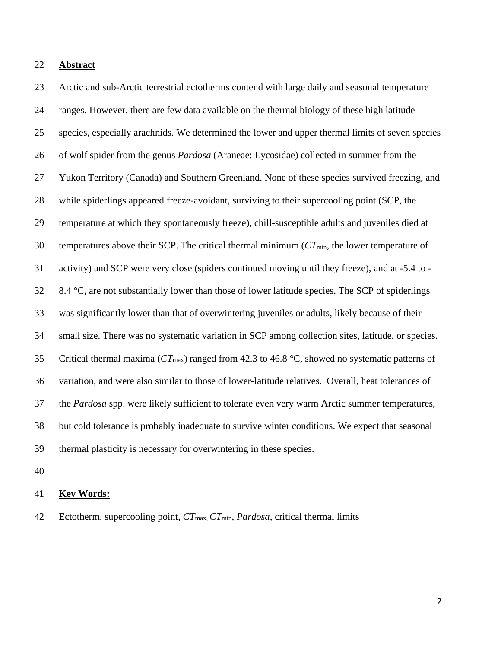#### **Abstract**

 Arctic and sub-Arctic terrestrial ectotherms contend with large daily and seasonal temperature ranges. However, there are few data available on the thermal biology of these high latitude species, especially arachnids. We determined the lower and upper thermal limits of seven species of wolf spider from the genus *Pardosa* (Araneae: Lycosidae) collected in summer from the Yukon Territory (Canada) and Southern Greenland. None of these species survived freezing, and while spiderlings appeared freeze-avoidant, surviving to their supercooling point (SCP, the temperature at which they spontaneously freeze), chill-susceptible adults and juveniles died at temperatures above their SCP. The critical thermal minimum (*CT*min, the lower temperature of activity) and SCP were very close (spiders continued moving until they freeze), and at -5.4 to - 8.4 °C, are not substantially lower than those of lower latitude species. The SCP of spiderlings was significantly lower than that of overwintering juveniles or adults, likely because of their small size. There was no systematic variation in SCP among collection sites, latitude, or species. Critical thermal maxima (*CT*max) ranged from 42.3 to 46.8 °C, showed no systematic patterns of variation, and were also similar to those of lower-latitude relatives. Overall, heat tolerances of the *Pardosa* spp. were likely sufficient to tolerate even very warm Arctic summer temperatures, but cold tolerance is probably inadequate to survive winter conditions. We expect that seasonal thermal plasticity is necessary for overwintering in these species.

#### **Key Words:**

Ectotherm, supercooling point, *CT*max, *CT*min, *Pardosa*, critical thermal limits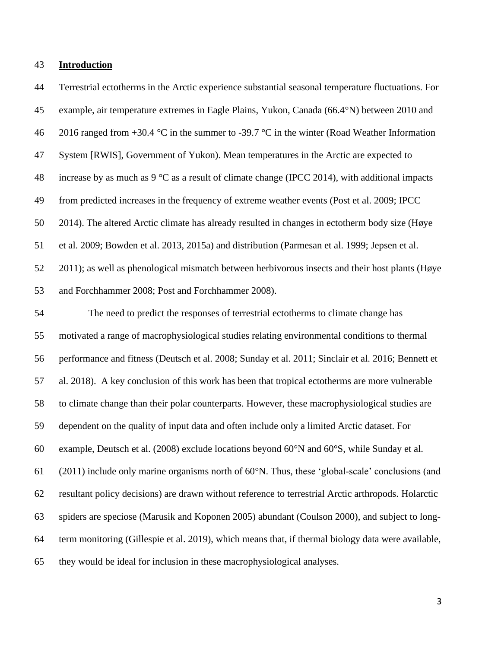#### **Introduction**

 example, air temperature extremes in Eagle Plains, Yukon, Canada (66.4°N) between 2010 and 46 2016 ranged from  $+30.4$  °C in the summer to -39.7 °C in the winter (Road Weather Information System [RWIS], Government of Yukon). Mean temperatures in the Arctic are expected to 48 increase by as much as  $9^{\circ}$ C as a result of climate change (IPCC 2014), with additional impacts from predicted increases in the frequency of extreme weather events (Post et al. 2009; IPCC 2014). The altered Arctic climate has already resulted in changes in ectotherm body size (Høye et al. 2009; Bowden et al. 2013, 2015a) and distribution (Parmesan et al. 1999; Jepsen et al. 2011); as well as phenological mismatch between herbivorous insects and their host plants (Høye and Forchhammer 2008; Post and Forchhammer 2008). The need to predict the responses of terrestrial ectotherms to climate change has motivated a range of macrophysiological studies relating environmental conditions to thermal performance and fitness (Deutsch et al. 2008; Sunday et al. 2011; Sinclair et al. 2016; Bennett et al. 2018). A key conclusion of this work has been that tropical ectotherms are more vulnerable to climate change than their polar counterparts. However, these macrophysiological studies are dependent on the quality of input data and often include only a limited Arctic dataset. For example, Deutsch et al. (2008) exclude locations beyond 60°N and 60°S, while Sunday et al. (2011) include only marine organisms north of 60°N. Thus, these 'global-scale' conclusions (and resultant policy decisions) are drawn without reference to terrestrial Arctic arthropods. Holarctic spiders are speciose (Marusik and Koponen 2005) abundant (Coulson 2000), and subject to long- term monitoring (Gillespie et al. 2019), which means that, if thermal biology data were available, they would be ideal for inclusion in these macrophysiological analyses.

Terrestrial ectotherms in the Arctic experience substantial seasonal temperature fluctuations. For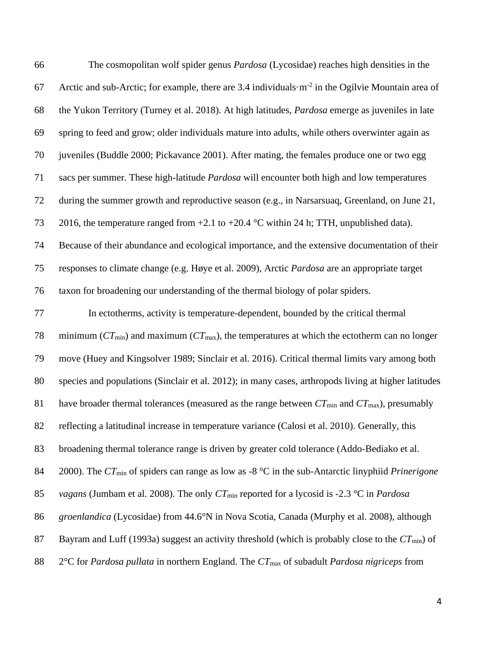| 66 | The cosmopolitan wolf spider genus <i>Pardosa</i> (Lycosidae) reaches high densities in the                                   |
|----|-------------------------------------------------------------------------------------------------------------------------------|
| 67 | Arctic and sub-Arctic; for example, there are $3.4$ individuals $\cdot$ m <sup>-2</sup> in the Ogilvie Mountain area of       |
| 68 | the Yukon Territory (Turney et al. 2018). At high latitudes, Pardosa emerge as juveniles in late                              |
| 69 | spring to feed and grow; older individuals mature into adults, while others overwinter again as                               |
| 70 | juveniles (Buddle 2000; Pickavance 2001). After mating, the females produce one or two egg                                    |
| 71 | sacs per summer. These high-latitude Pardosa will encounter both high and low temperatures                                    |
| 72 | during the summer growth and reproductive season (e.g., in Narsarsuaq, Greenland, on June 21,                                 |
| 73 | 2016, the temperature ranged from $+2.1$ to $+20.4$ °C within 24 h; TTH, unpublished data).                                   |
| 74 | Because of their abundance and ecological importance, and the extensive documentation of their                                |
| 75 | responses to climate change (e.g. Høye et al. 2009), Arctic Pardosa are an appropriate target                                 |
| 76 | taxon for broadening our understanding of the thermal biology of polar spiders.                                               |
| 77 | In ectotherms, activity is temperature-dependent, bounded by the critical thermal                                             |
| 78 | minimum ( $CT_{min}$ ) and maximum ( $CT_{max}$ ), the temperatures at which the ectotherm can no longer                      |
| 79 | move (Huey and Kingsolver 1989; Sinclair et al. 2016). Critical thermal limits vary among both                                |
| 80 | species and populations (Sinclair et al. 2012); in many cases, arthropods living at higher latitudes                          |
| 81 | have broader thermal tolerances (measured as the range between $CT_{min}$ and $CT_{max}$ ), presumably                        |
| 82 | reflecting a latitudinal increase in temperature variance (Calosi et al. 2010). Generally, this                               |
| 83 | broadening thermal tolerance range is driven by greater cold tolerance (Addo-Bediako et al.                                   |
| 84 | 2000). The $CT_{min}$ of spiders can range as low as -8 $^{\circ}$ C in the sub-Antarctic linyphiid <i>Prinerigone</i>        |
| 85 | <i>vagans</i> (Jumbam et al. 2008). The only $CT_{min}$ reported for a lycosid is -2.3 °C in <i>Pardosa</i>                   |
| 86 | groenlandica (Lycosidae) from 44.6°N in Nova Scotia, Canada (Murphy et al. 2008), although                                    |
| 87 | Bayram and Luff (1993a) suggest an activity threshold (which is probably close to the $CT_{min}$ ) of                         |
| 88 | $2^{\circ}$ C for <i>Pardosa pullata</i> in northern England. The $CT_{\text{max}}$ of subadult <i>Pardosa nigriceps</i> from |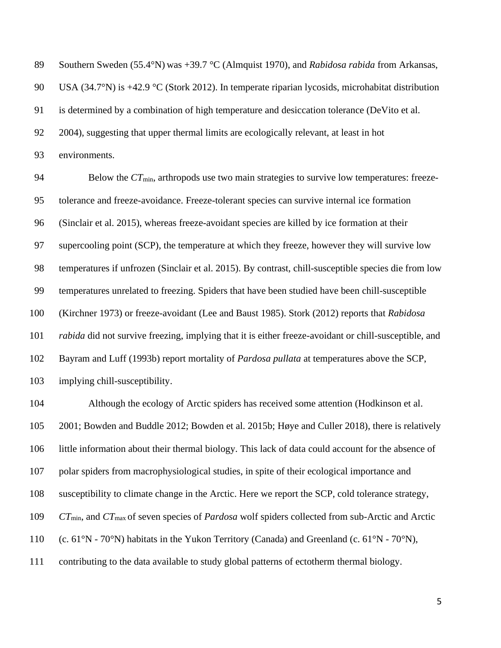Southern Sweden (55.4°N) was +39.7 °C (Almquist 1970), and *Rabidosa rabida* from Arkansas, 90 USA (34.7°N) is +42.9 °C (Stork 2012). In temperate riparian lycosids, microhabitat distribution is determined by a combination of high temperature and desiccation tolerance (DeVito et al. 2004), suggesting that upper thermal limits are ecologically relevant, at least in hot environments.

94 Below the *CT*<sub>min</sub>, arthropods use two main strategies to survive low temperatures: freeze- tolerance and freeze-avoidance. Freeze-tolerant species can survive internal ice formation (Sinclair et al. 2015), whereas freeze-avoidant species are killed by ice formation at their supercooling point (SCP), the temperature at which they freeze, however they will survive low temperatures if unfrozen (Sinclair et al. 2015). By contrast, chill-susceptible species die from low temperatures unrelated to freezing. Spiders that have been studied have been chill-susceptible (Kirchner 1973) or freeze-avoidant (Lee and Baust 1985). Stork (2012) reports that *Rabidosa rabida* did not survive freezing, implying that it is either freeze-avoidant or chill-susceptible, and Bayram and Luff (1993b) report mortality of *Pardosa pullata* at temperatures above the SCP, implying chill-susceptibility.

 Although the ecology of Arctic spiders has received some attention (Hodkinson et al. 2001; Bowden and Buddle 2012; Bowden et al. 2015b; Høye and Culler 2018), there is relatively little information about their thermal biology. This lack of data could account for the absence of polar spiders from macrophysiological studies, in spite of their ecological importance and susceptibility to climate change in the Arctic. Here we report the SCP, cold tolerance strategy, *CT*min, and *CT*max of seven species of *Pardosa* wolf spiders collected from sub-Arctic and Arctic 110 (c. 61 $\rm\degree N$  - 70 $\rm\degree N$ ) habitats in the Yukon Territory (Canada) and Greenland (c. 61 $\rm\degree N$  - 70 $\rm\degree N$ ), contributing to the data available to study global patterns of ectotherm thermal biology.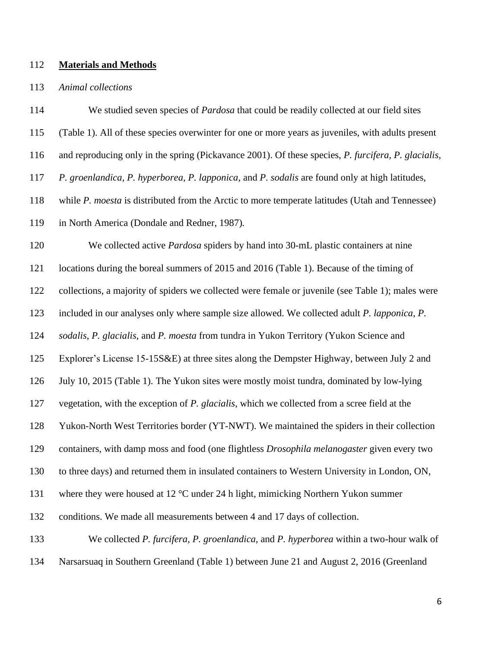#### **Materials and Methods**

#### *Animal collections*

 We studied seven species of *Pardosa* that could be readily collected at our field sites (Table 1). All of these species overwinter for one or more years as juveniles, with adults present and reproducing only in the spring (Pickavance 2001). Of these species, *P. furcifera, P. glacialis, P. groenlandica, P. hyperborea, P. lapponica,* and *P. sodalis* are found only at high latitudes, while *P. moesta* is distributed from the Arctic to more temperate latitudes (Utah and Tennessee) in North America (Dondale and Redner, 1987)*.*  We collected active *Pardosa* spiders by hand into 30-mL plastic containers at nine locations during the boreal summers of 2015 and 2016 (Table 1). Because of the timing of collections, a majority of spiders we collected were female or juvenile (see Table 1); males were included in our analyses only where sample size allowed. We collected adult *P. lapponica*, *P. sodalis*, *P. glacialis*, and *P. moesta* from tundra in Yukon Territory (Yukon Science and Explorer's License 15-15S&E) at three sites along the Dempster Highway, between July 2 and July 10, 2015 (Table 1). The Yukon sites were mostly moist tundra, dominated by low-lying vegetation, with the exception of *P. glacialis*, which we collected from a scree field at the Yukon-North West Territories border (YT-NWT). We maintained the spiders in their collection containers, with damp moss and food (one flightless *Drosophila melanogaster* given every two to three days) and returned them in insulated containers to Western University in London, ON, where they were housed at 12 °C under 24 h light, mimicking Northern Yukon summer conditions. We made all measurements between 4 and 17 days of collection. We collected *P. furcifera*, *P. groenlandica*, and *P. hyperborea* within a two-hour walk of Narsarsuaq in Southern Greenland (Table 1) between June 21 and August 2, 2016 (Greenland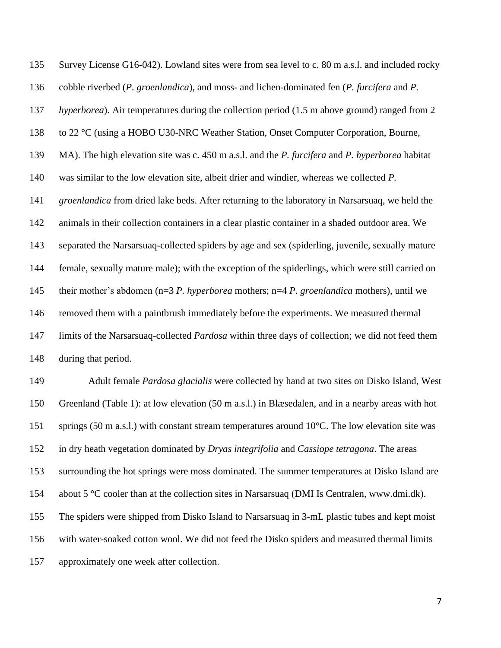Survey License G16-042). Lowland sites were from sea level to c. 80 m a.s.l. and included rocky cobble riverbed (*P. groenlandica*), and moss- and lichen-dominated fen (*P. furcifera* and *P. hyperborea*). Air temperatures during the collection period (1.5 m above ground) ranged from 2 to 22 °C (using a HOBO U30-NRC Weather Station, Onset Computer Corporation, Bourne, MA). The high elevation site was c. 450 m a.s.l. and the *P. furcifera* and *P. hyperborea* habitat was similar to the low elevation site, albeit drier and windier, whereas we collected *P. groenlandica* from dried lake beds. After returning to the laboratory in Narsarsuaq, we held the animals in their collection containers in a clear plastic container in a shaded outdoor area. We separated the Narsarsuaq-collected spiders by age and sex (spiderling, juvenile, sexually mature female, sexually mature male); with the exception of the spiderlings, which were still carried on their mother's abdomen (n=3 *P. hyperborea* mothers; n=4 *P. groenlandica* mothers), until we removed them with a paintbrush immediately before the experiments. We measured thermal limits of the Narsarsuaq-collected *Pardosa* within three days of collection; we did not feed them during that period.

 Adult female *Pardosa glacialis* were collected by hand at two sites on Disko Island, West Greenland (Table 1): at low elevation (50 m a.s.l.) in Blæsedalen, and in a nearby areas with hot 151 springs (50 m a.s.l.) with constant stream temperatures around 10°C. The low elevation site was in dry heath vegetation dominated by *Dryas integrifolia* and *Cassiope tetragona*. The areas surrounding the hot springs were moss dominated. The summer temperatures at Disko Island are about 5 °C cooler than at the collection sites in Narsarsuaq (DMI Is Centralen, www.dmi.dk). The spiders were shipped from Disko Island to Narsarsuaq in 3-mL plastic tubes and kept moist with water-soaked cotton wool. We did not feed the Disko spiders and measured thermal limits approximately one week after collection.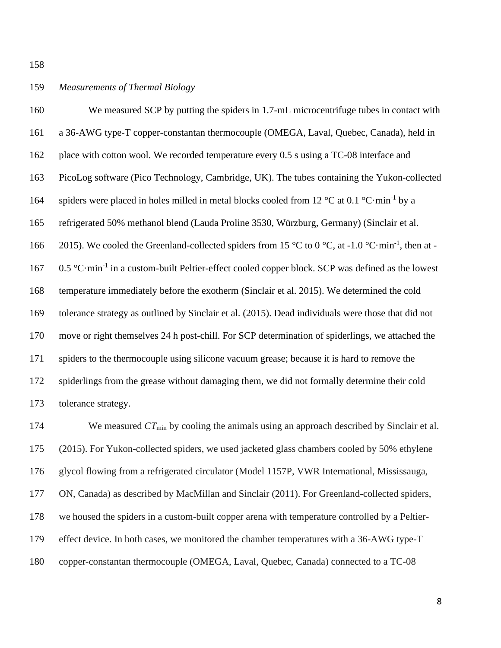## *Measurements of Thermal Biology*

 We measured SCP by putting the spiders in 1.7-mL microcentrifuge tubes in contact with a 36-AWG type-T copper-constantan thermocouple (OMEGA, Laval, Quebec, Canada), held in 162 place with cotton wool. We recorded temperature every 0.5 s using a TC-08 interface and PicoLog software (Pico Technology, Cambridge, UK). The tubes containing the Yukon-collected 164 spiders were placed in holes milled in metal blocks cooled from 12  $^{\circ}$ C at 0.1  $^{\circ}$ C·min<sup>-1</sup> by a refrigerated 50% methanol blend (Lauda Proline 3530, Würzburg, Germany) (Sinclair et al. 166 2015). We cooled the Greenland-collected spiders from 15 °C to 0 °C, at -1.0 °C·min<sup>-1</sup>, then at -167 0.5 °C·min<sup>-1</sup> in a custom-built Peltier-effect cooled copper block. SCP was defined as the lowest temperature immediately before the exotherm (Sinclair et al. 2015). We determined the cold tolerance strategy as outlined by Sinclair et al. (2015). Dead individuals were those that did not move or right themselves 24 h post-chill. For SCP determination of spiderlings, we attached the spiders to the thermocouple using silicone vacuum grease; because it is hard to remove the spiderlings from the grease without damaging them, we did not formally determine their cold tolerance strategy.

174 We measured *CT*<sub>min</sub> by cooling the animals using an approach described by Sinclair et al. (2015). For Yukon-collected spiders, we used jacketed glass chambers cooled by 50% ethylene glycol flowing from a refrigerated circulator (Model 1157P, VWR International, Mississauga, ON, Canada) as described by MacMillan and Sinclair (2011). For Greenland-collected spiders, we housed the spiders in a custom-built copper arena with temperature controlled by a Peltier- effect device. In both cases, we monitored the chamber temperatures with a 36-AWG type-T copper-constantan thermocouple (OMEGA, Laval, Quebec, Canada) connected to a TC-08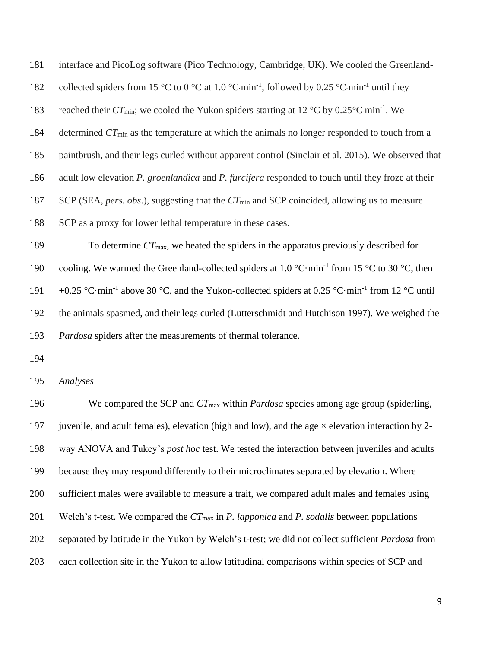| 181        | interface and PicoLog software (Pico Technology, Cambridge, UK). We cooled the Greenland-                                              |
|------------|----------------------------------------------------------------------------------------------------------------------------------------|
| 182        | collected spiders from 15 °C to 0 °C at 1.0 °C min <sup>-1</sup> , followed by 0.25 °C min <sup>-1</sup> until they                    |
| 183        | reached their $CT_{min}$ ; we cooled the Yukon spiders starting at 12 °C by 0.25°C min <sup>-1</sup> . We                              |
| 184        | determined $CT_{min}$ as the temperature at which the animals no longer responded to touch from a                                      |
| 185        | paintbrush, and their legs curled without apparent control (Sinclair et al. 2015). We observed that                                    |
| 186        | adult low elevation P. groenlandica and P. furcifera responded to touch until they froze at their                                      |
| 187        | SCP (SEA, pers. obs.), suggesting that the $CT_{min}$ and SCP coincided, allowing us to measure                                        |
| 188        | SCP as a proxy for lower lethal temperature in these cases.                                                                            |
| 189        | To determine $CT_{\text{max}}$ , we heated the spiders in the apparatus previously described for                                       |
| 190        | cooling. We warmed the Greenland-collected spiders at 1.0 $^{\circ}$ C·min <sup>-1</sup> from 15 $^{\circ}$ C to 30 $^{\circ}$ C, then |
| 191        | +0.25 °C·min <sup>-1</sup> above 30 °C, and the Yukon-collected spiders at 0.25 °C·min <sup>-1</sup> from 12 °C until                  |
| 192        | the animals spasmed, and their legs curled (Lutterschmidt and Hutchison 1997). We weighed the                                          |
| 193        | Pardosa spiders after the measurements of thermal tolerance.                                                                           |
| $1 \cap 4$ |                                                                                                                                        |

*Analyses*

196 We compared the SCP and  $CT_{\text{max}}$  within *Pardosa* species among age group (spiderling, 197 juvenile, and adult females), elevation (high and low), and the age  $\times$  elevation interaction by 2- way ANOVA and Tukey's *post hoc* test. We tested the interaction between juveniles and adults because they may respond differently to their microclimates separated by elevation. Where sufficient males were available to measure a trait, we compared adult males and females using Welch's t-test. We compared the *CT*max in *P. lapponica* and *P. sodalis* between populations separated by latitude in the Yukon by Welch's t-test; we did not collect sufficient *Pardosa* from each collection site in the Yukon to allow latitudinal comparisons within species of SCP and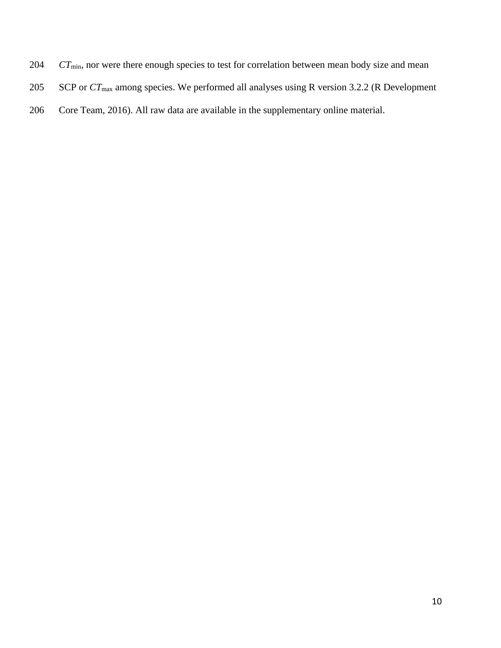- 204 *CT*<sub>min</sub>, nor were there enough species to test for correlation between mean body size and mean
- 205 SCP or  $CT_{\text{max}}$  among species. We performed all analyses using R version 3.2.2 (R Development
- 206 Core Team, 2016). All raw data are available in the supplementary online material.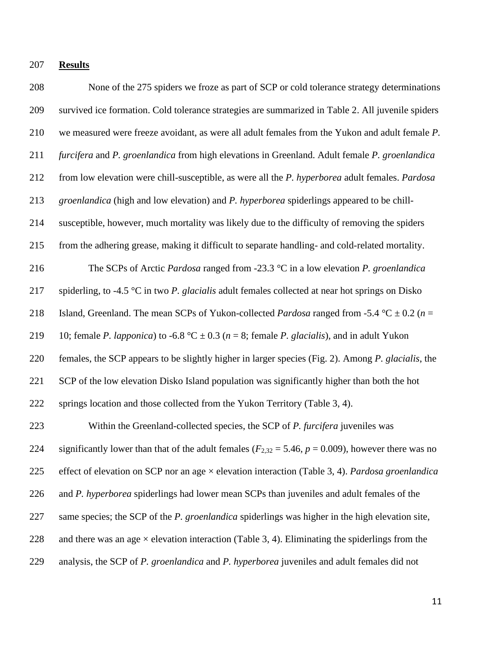**Results**

 None of the 275 spiders we froze as part of SCP or cold tolerance strategy determinations survived ice formation. Cold tolerance strategies are summarized in Table 2. All juvenile spiders we measured were freeze avoidant, as were all adult females from the Yukon and adult female *P. furcifera* and *P. groenlandica* from high elevations in Greenland. Adult female *P. groenlandica* from low elevation were chill-susceptible, as were all the *P. hyperborea* adult females. *Pardosa groenlandica* (high and low elevation) and *P. hyperborea* spiderlings appeared to be chill- susceptible, however, much mortality was likely due to the difficulty of removing the spiders from the adhering grease, making it difficult to separate handling- and cold-related mortality. The SCPs of Arctic *Pardosa* ranged from -23.3 °C in a low elevation *P. groenlandica*  spiderling, to -4.5 °C in two *P. glacialis* adult females collected at near hot springs on Disko 218 Island, Greenland. The mean SCPs of Yukon-collected *Pardosa* ranged from -5.4 °C  $\pm$  0.2 (*n* = 219 10; female *P. lapponica*) to -6.8 °C  $\pm$  0.3 (*n* = 8; female *P. glacialis*), and in adult Yukon females, the SCP appears to be slightly higher in larger species (Fig. 2). Among *P. glacialis*, the SCP of the low elevation Disko Island population was significantly higher than both the hot 222 springs location and those collected from the Yukon Territory (Table 3, 4). Within the Greenland-collected species, the SCP of *P. furcifera* juveniles was 224 significantly lower than that of the adult females  $(F_{2,32} = 5.46, p = 0.009)$ , however there was no effect of elevation on SCP nor an age × elevation interaction (Table 3, 4). *Pardosa groenlandica*  and *P. hyperborea* spiderlings had lower mean SCPs than juveniles and adult females of the same species; the SCP of the *P. groenlandica* spiderlings was higher in the high elevation site, 228 and there was an age  $\times$  elevation interaction (Table 3, 4). Eliminating the spiderlings from the analysis, the SCP of *P. groenlandica* and *P. hyperborea* juveniles and adult females did not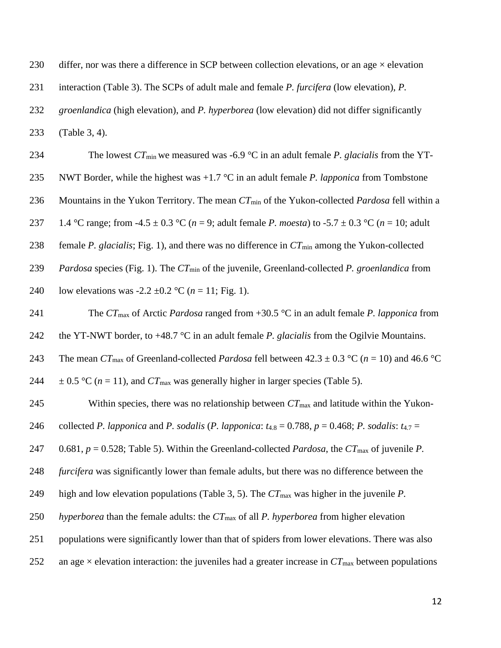| 230 | differ, nor was there a difference in SCP between collection elevations, or an age $\times$ elevation       |
|-----|-------------------------------------------------------------------------------------------------------------|
| 231 | interaction (Table 3). The SCPs of adult male and female P. furcifera (low elevation), P.                   |
| 232 | <i>groenlandica</i> (high elevation), and <i>P. hyperborea</i> (low elevation) did not differ significantly |
| 233 | $(Table 3, 4)$ .                                                                                            |

| 234 | The lowest $CT_{min}$ we measured was -6.9 °C in an adult female P. glacialis from the YT-                |
|-----|-----------------------------------------------------------------------------------------------------------|
| 235 | NWT Border, while the highest was $+1.7$ °C in an adult female <i>P. lapponica</i> from Tombstone         |
| 236 | Mountains in the Yukon Territory. The mean $CT_{min}$ of the Yukon-collected <i>Pardosa</i> fell within a |
| 237 | 1.4 °C range; from -4.5 ± 0.3 °C ( $n = 9$ ; adult female P. moesta) to -5.7 ± 0.3 °C ( $n = 10$ ; adult  |
| 238 | female P. glacialis; Fig. 1), and there was no difference in $CT_{min}$ among the Yukon-collected         |
| 239 | <i>Pardosa</i> species (Fig. 1). The $CT_{min}$ of the juvenile, Greenland-collected P. groenlandica from |
| 240 | low elevations was -2.2 $\pm$ 0.2 °C ( <i>n</i> = 11; Fig. 1).                                            |
|     |                                                                                                           |

 The *CT*max of Arctic *Pardosa* ranged from +30.5 °C in an adult female *P. lapponica* from the YT-NWT border, to +48.7 °C in an adult female *P. glacialis* from the Ogilvie Mountains. 243 The mean  $CT_{\text{max}}$  of Greenland-collected *Pardosa* fell between  $42.3 \pm 0.3$  °C ( $n = 10$ ) and 46.6 °C  $\pm$  0.5 °C (*n* = 11), and *CT*<sub>max</sub> was generally higher in larger species (Table 5).

245 Within species, there was no relationship between  $CT_{\text{max}}$  and latitude within the Yukon-246 collected *P. lapponica* and *P. sodalis* (*P. lapponica*:  $t_{4.8} = 0.788$ ,  $p = 0.468$ ; *P. sodalis*:  $t_{4.7} =$  0.681, *p* = 0.528; Table 5). Within the Greenland-collected *Pardosa*, the *CT*max of juvenile *P. furcifera* was significantly lower than female adults, but there was no difference between the high and low elevation populations (Table 3, 5). The *CT*max was higher in the juvenile *P. hyperborea* than the female adults: the *CT*max of all *P. hyperborea* from higher elevation populations were significantly lower than that of spiders from lower elevations. There was also 252 an age  $\times$  elevation interaction: the juveniles had a greater increase in  $CT<sub>max</sub>$  between populations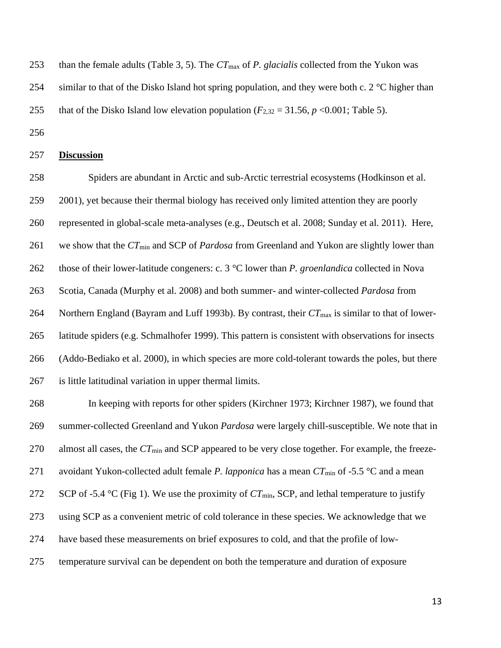- than the female adults (Table 3, 5). The *CT*max of *P. glacialis* collected from the Yukon was
- 254 similar to that of the Disko Island hot spring population, and they were both c.  $2^{\circ}$ C higher than
- 255 that of the Disko Island low elevation population ( $F_{2,32} = 31.56$ ,  $p < 0.001$ ; Table 5).
- 

#### **Discussion**

 Spiders are abundant in Arctic and sub-Arctic terrestrial ecosystems (Hodkinson et al. 2001), yet because their thermal biology has received only limited attention they are poorly represented in global-scale meta-analyses (e.g., Deutsch et al. 2008; Sunday et al. 2011). Here, we show that the *CT*min and SCP of *Pardosa* from Greenland and Yukon are slightly lower than those of their lower-latitude congeners: c. 3 °C lower than *P. groenlandica* collected in Nova Scotia, Canada (Murphy et al. 2008) and both summer- and winter-collected *Pardosa* from 264 Northern England (Bayram and Luff 1993b). By contrast, their  $CT_{\text{max}}$  is similar to that of lower- latitude spiders (e.g. Schmalhofer 1999). This pattern is consistent with observations for insects (Addo-Bediako et al. 2000), in which species are more cold-tolerant towards the poles, but there is little latitudinal variation in upper thermal limits.

 In keeping with reports for other spiders (Kirchner 1973; Kirchner 1987), we found that summer-collected Greenland and Yukon *Pardosa* were largely chill-susceptible. We note that in almost all cases, the *CT*min and SCP appeared to be very close together. For example, the freeze- avoidant Yukon-collected adult female *P. lapponica* has a mean *CT*min of -5.5 °C and a mean 272 SCP of -5.4 °C (Fig 1). We use the proximity of  $CT_{min}$ , SCP, and lethal temperature to justify using SCP as a convenient metric of cold tolerance in these species. We acknowledge that we have based these measurements on brief exposures to cold, and that the profile of low-temperature survival can be dependent on both the temperature and duration of exposure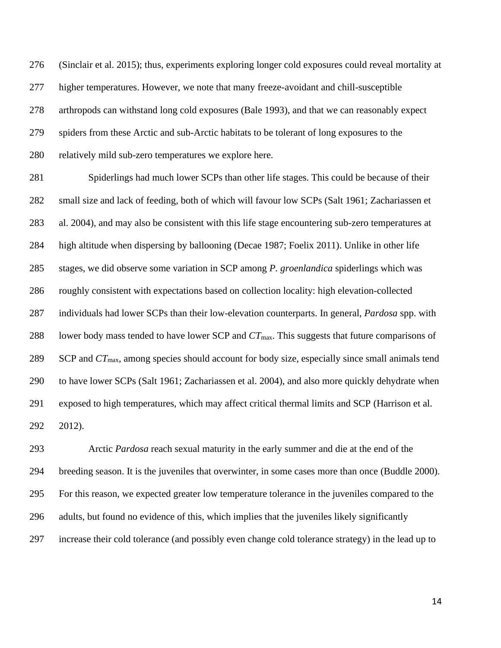(Sinclair et al. 2015); thus, experiments exploring longer cold exposures could reveal mortality at higher temperatures. However, we note that many freeze-avoidant and chill-susceptible arthropods can withstand long cold exposures (Bale 1993), and that we can reasonably expect spiders from these Arctic and sub-Arctic habitats to be tolerant of long exposures to the relatively mild sub-zero temperatures we explore here.

 Spiderlings had much lower SCPs than other life stages. This could be because of their small size and lack of feeding, both of which will favour low SCPs (Salt 1961; Zachariassen et al. 2004), and may also be consistent with this life stage encountering sub-zero temperatures at high altitude when dispersing by ballooning (Decae 1987; Foelix 2011). Unlike in other life stages, we did observe some variation in SCP among *P. groenlandica* spiderlings which was roughly consistent with expectations based on collection locality: high elevation-collected individuals had lower SCPs than their low-elevation counterparts. In general, *Pardosa* spp. with lower body mass tended to have lower SCP and *CT*max. This suggests that future comparisons of SCP and *CT*max, among species should account for body size, especially since small animals tend to have lower SCPs (Salt 1961; Zachariassen et al. 2004), and also more quickly dehydrate when exposed to high temperatures, which may affect critical thermal limits and SCP (Harrison et al. 2012).

 Arctic *Pardosa* reach sexual maturity in the early summer and die at the end of the breeding season. It is the juveniles that overwinter, in some cases more than once (Buddle 2000). For this reason, we expected greater low temperature tolerance in the juveniles compared to the adults, but found no evidence of this, which implies that the juveniles likely significantly increase their cold tolerance (and possibly even change cold tolerance strategy) in the lead up to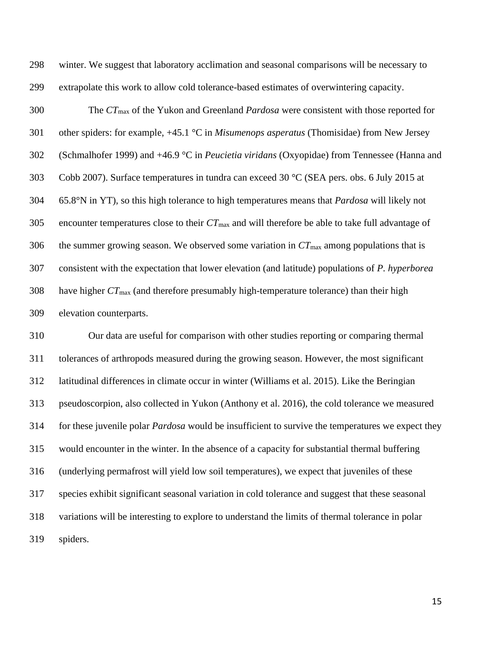winter. We suggest that laboratory acclimation and seasonal comparisons will be necessary to extrapolate this work to allow cold tolerance-based estimates of overwintering capacity.

 The *CT*max of the Yukon and Greenland *Pardosa* were consistent with those reported for other spiders: for example, +45.1 °C in *Misumenops asperatus* (Thomisidae) from New Jersey (Schmalhofer 1999) and +46.9 °C in *Peucietia viridans* (Oxyopidae) from Tennessee (Hanna and Cobb 2007). Surface temperatures in tundra can exceed 30 °C (SEA pers. obs. 6 July 2015 at 65.8°N in YT), so this high tolerance to high temperatures means that *Pardosa* will likely not encounter temperatures close to their *CT*max and will therefore be able to take full advantage of the summer growing season. We observed some variation in *CT*max among populations that is consistent with the expectation that lower elevation (and latitude) populations of *P. hyperborea* have higher *CT*max (and therefore presumably high-temperature tolerance) than their high elevation counterparts.

 Our data are useful for comparison with other studies reporting or comparing thermal tolerances of arthropods measured during the growing season. However, the most significant latitudinal differences in climate occur in winter (Williams et al. 2015). Like the Beringian pseudoscorpion, also collected in Yukon (Anthony et al. 2016), the cold tolerance we measured for these juvenile polar *Pardosa* would be insufficient to survive the temperatures we expect they would encounter in the winter. In the absence of a capacity for substantial thermal buffering (underlying permafrost will yield low soil temperatures), we expect that juveniles of these species exhibit significant seasonal variation in cold tolerance and suggest that these seasonal variations will be interesting to explore to understand the limits of thermal tolerance in polar spiders.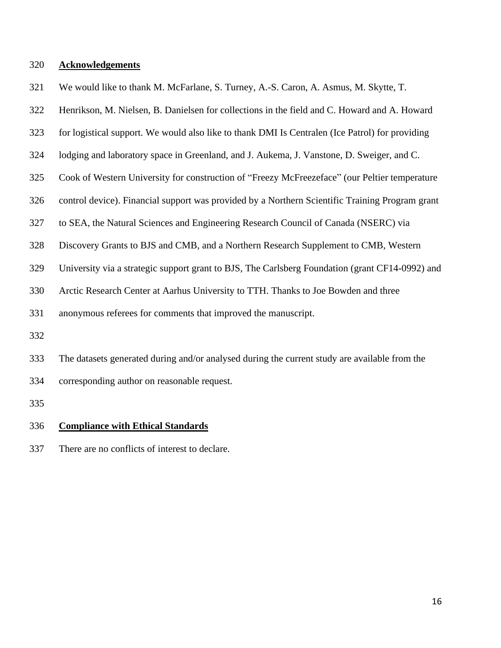#### **Acknowledgements**

- We would like to thank M. McFarlane, S. Turney, A.-S. Caron, A. Asmus, M. Skytte, T.
- Henrikson, M. Nielsen, B. Danielsen for collections in the field and C. Howard and A. Howard
- for logistical support. We would also like to thank DMI Is Centralen (Ice Patrol) for providing
- lodging and laboratory space in Greenland, and J. Aukema, J. Vanstone, D. Sweiger, and C.
- Cook of Western University for construction of "Freezy McFreezeface" (our Peltier temperature
- control device). Financial support was provided by a Northern Scientific Training Program grant
- to SEA, the Natural Sciences and Engineering Research Council of Canada (NSERC) via
- Discovery Grants to BJS and CMB, and a Northern Research Supplement to CMB, Western
- University via a strategic support grant to BJS, The Carlsberg Foundation (grant CF14-0992) and
- Arctic Research Center at Aarhus University to TTH. Thanks to Joe Bowden and three

anonymous referees for comments that improved the manuscript.

- 
- The datasets generated during and/or analysed during the current study are available from the

corresponding author on reasonable request.

#### **Compliance with Ethical Standards**

There are no conflicts of interest to declare.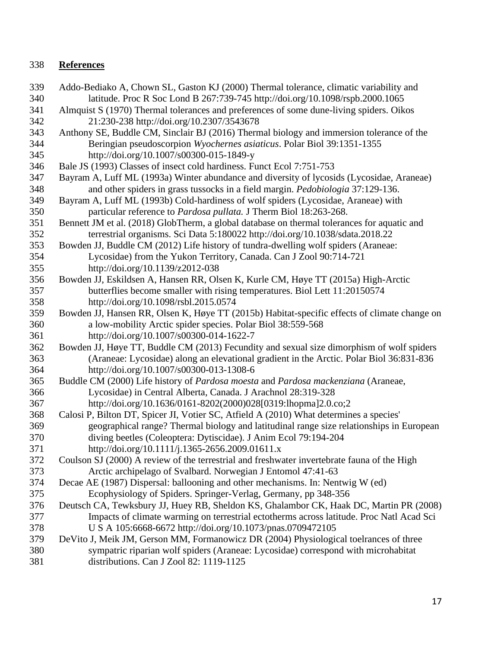## **References**

 Addo-Bediako A, Chown SL, Gaston KJ (2000) Thermal tolerance, climatic variability and latitude. Proc R Soc Lond B 267:739-745 http://doi.org/10.1098/rspb.2000.1065 Almquist S (1970) Thermal tolerances and preferences of some dune-living spiders. Oikos 21:230-238 http://doi.org/10.2307/3543678 Anthony SE, Buddle CM, Sinclair BJ (2016) Thermal biology and immersion tolerance of the Beringian pseudoscorpion *Wyochernes asiaticus*. Polar Biol 39:1351-1355 http://doi.org/10.1007/s00300-015-1849-y Bale JS (1993) Classes of insect cold hardiness. Funct Ecol 7:751-753 Bayram A, Luff ML (1993a) Winter abundance and diversity of lycosids (Lycosidae, Araneae) and other spiders in grass tussocks in a field margin. *Pedobiologia* 37:129-136. Bayram A, Luff ML (1993b) Cold-hardiness of wolf spiders (Lycosidae, Araneae) with particular reference to *Pardosa pullata.* J Therm Biol 18:263-268. Bennett JM et al. (2018) GlobTherm, a global database on thermal tolerances for aquatic and terrestrial organisms. Sci Data 5:180022 http://doi.org/10.1038/sdata.2018.22 Bowden JJ, Buddle CM (2012) Life history of tundra-dwelling wolf spiders (Araneae: Lycosidae) from the Yukon Territory, Canada. Can J Zool 90:714-721 http://doi.org/10.1139/z2012-038 Bowden JJ, Eskildsen A, Hansen RR, Olsen K, Kurle CM, Høye TT (2015a) High-Arctic butterflies become smaller with rising temperatures. Biol Lett 11:20150574 http://doi.org/10.1098/rsbl.2015.0574 Bowden JJ, Hansen RR, Olsen K, Høye TT (2015b) Habitat-specific effects of climate change on a low-mobility Arctic spider species. Polar Biol 38:559-568 http://doi.org/10.1007/s00300-014-1622-7 Bowden JJ, Høye TT, Buddle CM (2013) Fecundity and sexual size dimorphism of wolf spiders (Araneae: Lycosidae) along an elevational gradient in the Arctic. Polar Biol 36:831-836 http://doi.org/10.1007/s00300-013-1308-6 Buddle CM (2000) Life history of *Pardosa moesta* and *Pardosa mackenziana* (Araneae, Lycosidae) in Central Alberta, Canada. J Arachnol 28:319-328 http://doi.org/10.1636/0161-8202(2000)028[0319:lhopma]2.0.co;2 Calosi P, Bilton DT, Spicer JI, Votier SC, Atfield A (2010) What determines a species' geographical range? Thermal biology and latitudinal range size relationships in European diving beetles (Coleoptera: Dytiscidae). J Anim Ecol 79:194-204 http://doi.org/10.1111/j.1365-2656.2009.01611.x Coulson SJ (2000) A review of the terrestrial and freshwater invertebrate fauna of the High Arctic archipelago of Svalbard. Norwegian J Entomol 47:41-63 Decae AE (1987) Dispersal: ballooning and other mechanisms. In: Nentwig W (ed) Ecophysiology of Spiders. Springer-Verlag, Germany, pp 348-356 Deutsch CA, Tewksbury JJ, Huey RB, Sheldon KS, Ghalambor CK, Haak DC, Martin PR (2008) Impacts of climate warming on terrestrial ectotherms across latitude. Proc Natl Acad Sci U S A 105:6668-6672 http://doi.org/10.1073/pnas.0709472105 DeVito J, Meik JM, Gerson MM, Formanowicz DR (2004) Physiological toelrances of three sympatric riparian wolf spiders (Araneae: Lycosidae) correspond with microhabitat distributions. Can J Zool 82: 1119-1125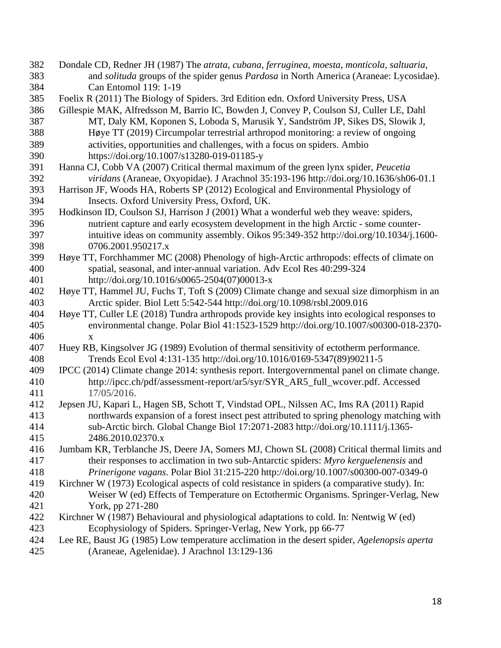- Dondale CD, Redner JH (1987) The *atrata*, *cubana*, *ferruginea*, *moesta*, *monticola*, *saltuaria*, and *solituda* groups of the spider genus *Pardosa* in North America (Araneae: Lycosidae). Can Entomol 119: 1-19
- Foelix R (2011) The Biology of Spiders. 3rd Edition edn. Oxford University Press, USA
- Gillespie MAK, Alfredsson M, Barrio IC, Bowden J, Convey P, Coulson SJ, Culler LE, Dahl MT, Daly KM, Koponen S, Loboda S, Marusik Y, Sandström JP, Sikes DS, Slowik J, Høye TT (2019) Circumpolar terrestrial arthropod monitoring: a review of ongoing activities, opportunities and challenges, with a focus on spiders. Ambio https://doi.org/10.1007/s13280-019-01185-y
- Hanna CJ, Cobb VA (2007) Critical thermal maximum of the green lynx spider, *Peucetia viridans* (Araneae, Oxyopidae). J Arachnol 35:193-196 http://doi.org/10.1636/sh06-01.1
- Harrison JF, Woods HA, Roberts SP (2012) Ecological and Environmental Physiology of Insects. Oxford University Press, Oxford, UK.
- Hodkinson ID, Coulson SJ, Harrison J (2001) What a wonderful web they weave: spiders, nutrient capture and early ecosystem development in the high Arctic - some counter- intuitive ideas on community assembly. Oikos 95:349-352 http://doi.org/10.1034/j.1600- 0706.2001.950217.x
- Høye TT, Forchhammer MC (2008) Phenology of high-Arctic arthropods: effects of climate on spatial, seasonal, and inter-annual variation. Adv Ecol Res 40:299-324 http://doi.org/10.1016/s0065-2504(07)00013-x
- Høye TT, Hammel JU, Fuchs T, Toft S (2009) Climate change and sexual size dimorphism in an Arctic spider. Biol Lett 5:542-544 http://doi.org/10.1098/rsbl.2009.016
- Høye TT, Culler LE (2018) Tundra arthropods provide key insights into ecological responses to environmental change. Polar Biol 41:1523-1529 http://doi.org/10.1007/s00300-018-2370- x
- Huey RB, Kingsolver JG (1989) Evolution of thermal sensitivity of ectotherm performance. Trends Ecol Evol 4:131-135 http://doi.org/10.1016/0169-5347(89)90211-5
- IPCC (2014) Climate change 2014: synthesis report. Intergovernmental panel on climate change. http://ipcc.ch/pdf/assessment-report/ar5/syr/SYR\_AR5\_full\_wcover.pdf. Accessed 17/05/2016.
- Jepsen JU, Kapari L, Hagen SB, Schott T, Vindstad OPL, Nilssen AC, Ims RA (2011) Rapid northwards expansion of a forest insect pest attributed to spring phenology matching with sub-Arctic birch. Global Change Biol 17:2071-2083 http://doi.org/10.1111/j.1365- 2486.2010.02370.x
- Jumbam KR, Terblanche JS, Deere JA, Somers MJ, Chown SL (2008) Critical thermal limits and their responses to acclimation in two sub-Antarctic spiders: *Myro kerguelenensis* and *Prinerigone vagans*. Polar Biol 31:215-220 http://doi.org/10.1007/s00300-007-0349-0
- Kirchner W (1973) Ecological aspects of cold resistance in spiders (a comparative study). In: Weiser W (ed) Effects of Temperature on Ectothermic Organisms. Springer-Verlag, New York, pp 271-280
- Kirchner W (1987) Behavioural and physiological adaptations to cold. In: Nentwig W (ed) Ecophysiology of Spiders. Springer-Verlag, New York, pp 66-77
- Lee RE, Baust JG (1985) Low temperature acclimation in the desert spider, *Agelenopsis aperta* (Araneae, Agelenidae). J Arachnol 13:129-136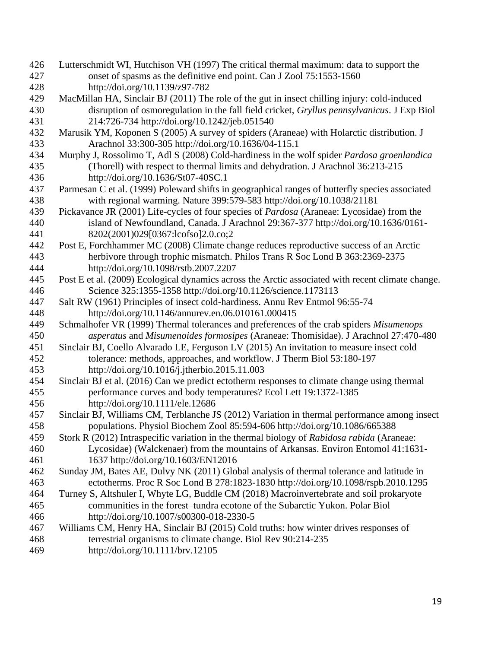- Lutterschmidt WI, Hutchison VH (1997) The critical thermal maximum: data to support the onset of spasms as the definitive end point. Can J Zool 75:1553-1560 http://doi.org/10.1139/z97-782
- MacMillan HA, Sinclair BJ (2011) The role of the gut in insect chilling injury: cold-induced disruption of osmoregulation in the fall field cricket, *Gryllus pennsylvanicus*. J Exp Biol 214:726-734 http://doi.org/10.1242/jeb.051540
- Marusik YM, Koponen S (2005) A survey of spiders (Araneae) with Holarctic distribution. J Arachnol 33:300-305 http://doi.org/10.1636/04-115.1
- Murphy J, Rossolimo T, Adl S (2008) Cold-hardiness in the wolf spider *Pardosa groenlandica* (Thorell) with respect to thermal limits and dehydration. J Arachnol 36:213-215 http://doi.org/10.1636/St07-40SC.1
- Parmesan C et al. (1999) Poleward shifts in geographical ranges of butterfly species associated with regional warming. Nature 399:579-583 http://doi.org/10.1038/21181
- Pickavance JR (2001) Life-cycles of four species of *Pardosa* (Araneae: Lycosidae) from the island of Newfoundland, Canada. J Arachnol 29:367-377 http://doi.org/10.1636/0161- 8202(2001)029[0367:lcofso]2.0.co;2
- Post E, Forchhammer MC (2008) Climate change reduces reproductive success of an Arctic herbivore through trophic mismatch. Philos Trans R Soc Lond B 363:2369-2375 http://doi.org/10.1098/rstb.2007.2207
- Post E et al. (2009) Ecological dynamics across the Arctic associated with recent climate change. Science 325:1355-1358 http://doi.org/10.1126/science.1173113
- Salt RW (1961) Principles of insect cold-hardiness. Annu Rev Entmol 96:55-74 http://doi.org/10.1146/annurev.en.06.010161.000415
- Schmalhofer VR (1999) Thermal tolerances and preferences of the crab spiders *Misumenops asperatus* and *Misumenoides formosipes* (Araneae: Thomisidae). J Arachnol 27:470-480
- Sinclair BJ, Coello Alvarado LE, Ferguson LV (2015) An invitation to measure insect cold tolerance: methods, approaches, and workflow. J Therm Biol 53:180-197 http://doi.org/10.1016/j.jtherbio.2015.11.003
- Sinclair BJ et al. (2016) Can we predict ectotherm responses to climate change using thermal performance curves and body temperatures? Ecol Lett 19:1372-1385 http://doi.org/10.1111/ele.12686
- Sinclair BJ, Williams CM, Terblanche JS (2012) Variation in thermal performance among insect populations. Physiol Biochem Zool 85:594-606 http://doi.org/10.1086/665388
- Stork R (2012) Intraspecific variation in the thermal biology of *Rabidosa rabida* (Araneae: Lycosidae) (Walckenaer) from the mountains of Arkansas. Environ Entomol 41:1631- 1637 http://doi.org/10.1603/EN12016
- Sunday JM, Bates AE, Dulvy NK (2011) Global analysis of thermal tolerance and latitude in ectotherms. Proc R Soc Lond B 278:1823-1830 http://doi.org/10.1098/rspb.2010.1295
- Turney S, Altshuler I, Whyte LG, Buddle CM (2018) Macroinvertebrate and soil prokaryote communities in the forest–tundra ecotone of the Subarctic Yukon. Polar Biol http://doi.org/10.1007/s00300-018-2330-5
- Williams CM, Henry HA, Sinclair BJ (2015) Cold truths: how winter drives responses of terrestrial organisms to climate change. Biol Rev 90:214-235 http://doi.org/10.1111/brv.12105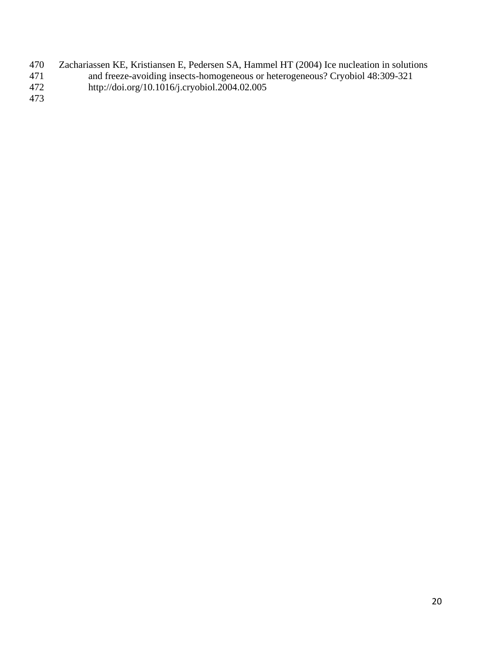- 470 Zachariassen KE, Kristiansen E, Pedersen SA, Hammel HT (2004) Ice nucleation in solutions<br>471 and freeze-avoiding insects-homogeneous or heterogeneous? Cryobiol 48:309-321
- 471 and freeze-avoiding insects-homogeneous or heterogeneous? Cryobiol 48:309-321<br>472 http://doi.org/10.1016/j.cryobiol.2004.02.005
- http://doi.org/10.1016/j.cryobiol.2004.02.005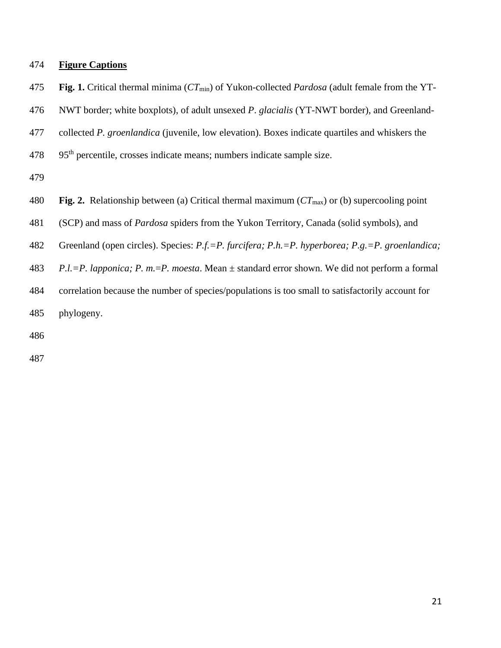#### **Figure Captions**

**Fig. 1.** Critical thermal minima (*CT*min) of Yukon-collected *Pardosa* (adult female from the YT-

NWT border; white boxplots), of adult unsexed *P*. *glacialis* (YT-NWT border), and Greenland-

collected *P. groenlandica* (juvenile, low elevation). Boxes indicate quartiles and whiskers the

95<sup>th</sup> percentile, crosses indicate means; numbers indicate sample size.

**Fig. 2.** Relationship between (a) Critical thermal maximum (*CT*max) or (b) supercooling point

(SCP) and mass of *Pardosa* spiders from the Yukon Territory, Canada (solid symbols), and

Greenland (open circles). Species: *P.f.=P. furcifera; P.h.=P. hyperborea; P.g.=P. groenlandica;* 

*P.l.=P. lapponica; P. m.*=*P. moesta*. Mean ± standard error shown. We did not perform a formal

correlation because the number of species/populations is too small to satisfactorily account for

phylogeny.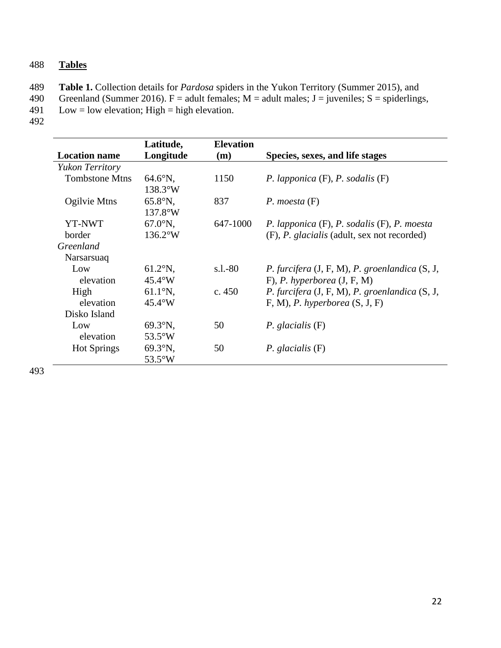## 488 **Tables**

489 **Table 1.** Collection details for *Pardosa* spiders in the Yukon Territory (Summer 2015), and

- 490 Greenland (Summer 2016). F = adult females; M = adult males; J = juveniles; S = spiderlings, Low = low elevation; High = high elevation.
- $Low = low$  elevation; High = high elevation.
- 492

|                       | Latitude,         | <b>Elevation</b> |                                                   |
|-----------------------|-------------------|------------------|---------------------------------------------------|
| <b>Location name</b>  | Longitude         | (m)              | Species, sexes, and life stages                   |
| Yukon Territory       |                   |                  |                                                   |
| <b>Tombstone Mtns</b> | $64.6^{\circ}$ N, | 1150             | P. lapponica $(F)$ , P. sodalis $(F)$             |
|                       | $138.3^{\circ}W$  |                  |                                                   |
| Ogilvie Mtns          | $65.8^{\circ}N$ , | 837              | P. moesta $(F)$                                   |
|                       | $137.8^{\circ}$ W |                  |                                                   |
| <b>YT-NWT</b>         | $67.0^\circ N$ ,  | 647-1000         | $P.$ lapponica $(F), P.$ sodalis $(F), P.$ moesta |
| border                | $136.2^{\circ}W$  |                  | (F), P. glacialis (adult, sex not recorded)       |
| Greenland             |                   |                  |                                                   |
| Narsarsuaq            |                   |                  |                                                   |
| Low                   | $61.2^{\circ}$ N, | $s.l.-80$        | P. furcifera (J, F, M), P. groenlandica (S, J,    |
| elevation             | $45.4^{\circ}$ W  |                  | $F$ , P. hyperborea $(J, F, M)$                   |
| High                  | $61.1^{\circ}N,$  | c. $450$         | P. furcifera (J, F, M), P. groenlandica (S, J,    |
| elevation             | $45.4^{\circ}$ W  |                  | $F, M$ ), <i>P. hyperborea</i> $(S, J, F)$        |
| Disko Island          |                   |                  |                                                   |
| Low                   | $69.3^{\circ}N$ , | 50               | $P.$ glacialis $(F)$                              |
| elevation             | $53.5^{\circ}$ W  |                  |                                                   |
| <b>Hot Springs</b>    | $69.3^{\circ}N$ , | 50               | $P.$ glacialis $(F)$                              |
|                       | $53.5^{\circ}$ W  |                  |                                                   |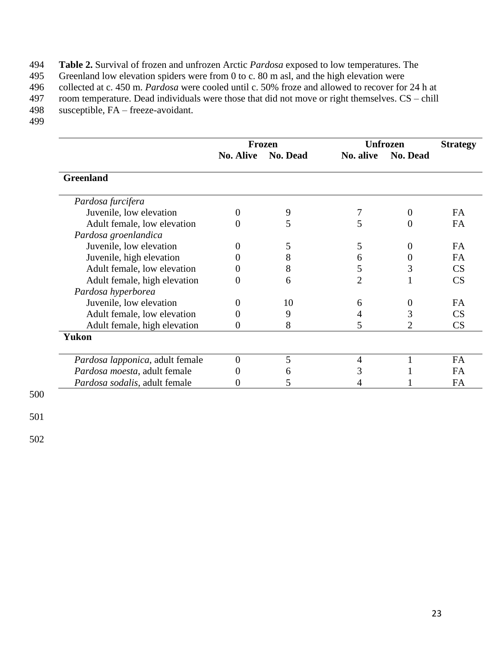**Table 2.** Survival of frozen and unfrozen Arctic *Pardosa* exposed to low temperatures. The Greenland low elevation spiders were from 0 to c. 80 m asl, and the high elevation were

Greenland low elevation spiders were from 0 to c. 80 m asl, and the high elevation were

496 collected at c. 450 m. *Pardosa* were cooled until c. 50% froze and allowed to recover for 24 h at

497 room temperature. Dead individuals were those that did not move or right themselves. CS – chill

- $susceptible$ ,  $FA$  freeze-avoidant.
- 499

|                                 |                  | <b>Frozen</b>   |                | <b>Unfrozen</b> | <b>Strategy</b> |
|---------------------------------|------------------|-----------------|----------------|-----------------|-----------------|
|                                 | <b>No. Alive</b> | <b>No. Dead</b> | No. alive      | <b>No. Dead</b> |                 |
| <b>Greenland</b>                |                  |                 |                |                 |                 |
| Pardosa furcifera               |                  |                 |                |                 |                 |
| Juvenile, low elevation         | $\boldsymbol{0}$ | 9               |                | 0               | <b>FA</b>       |
| Adult female, low elevation     | 0                | 5               | 5              | 0               | FA              |
| Pardosa groenlandica            |                  |                 |                |                 |                 |
| Juvenile, low elevation         |                  | 5               | 5              |                 | <b>FA</b>       |
| Juvenile, high elevation        |                  | 8               | 6              | 0               | <b>FA</b>       |
| Adult female, low elevation     | 0                | 8               | 5              | 3               | CS              |
| Adult female, high elevation    | 0                | 6               | $\overline{2}$ |                 | CS              |
| Pardosa hyperborea              |                  |                 |                |                 |                 |
| Juvenile, low elevation         |                  | 10              | 6              | 0               | FA              |
| Adult female, low elevation     | 0                | 9               | 4              | 3               | CS              |
| Adult female, high elevation    | 0                | 8               | 5              | 2               | CS              |
| Yukon                           |                  |                 |                |                 |                 |
| Pardosa lapponica, adult female | 0                | 5               | 4              |                 | FA              |
| Pardosa moesta, adult female    | 0                | 6               |                |                 | <b>FA</b>       |
| Pardosa sodalis, adult female   | 0                | 5               |                |                 | FA              |

500

501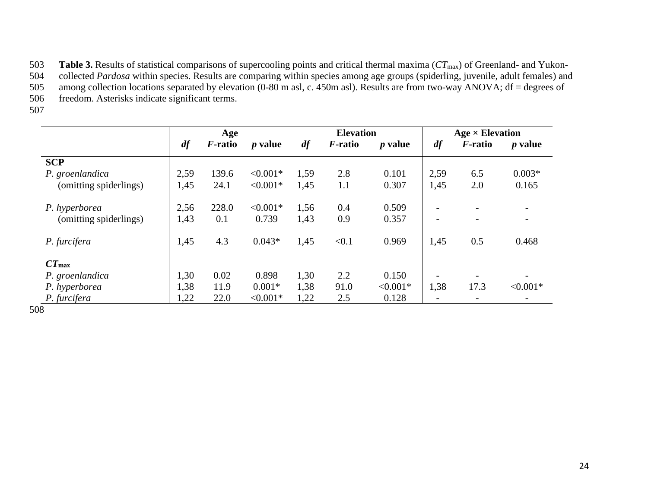**Table 3.** Results of statistical comparisons of supercooling points and critical thermal maxima ( $CT_{\text{max}}$ ) of Greenland- and Yukon-<br>504 collected *Pardosa* within species. Results are comparing within species among age

504 collected *Pardosa* within species. Results are comparing within species among age groups (spiderling, juvenile, adult females) and<br>505 among collection locations separated by elevation (0-80 m asl, c. 450m asl). Resul among collection locations separated by elevation  $(0-80 \text{ m as}1, \text{ c. } 450 \text{ m as}1)$ . Results are from two-way ANOVA; df = degrees of

506 freedom. Asterisks indicate significant terms.

507

|                        |      | Age             |                |      | <b>Elevation</b> |                |      | $Age \times Elevation$   |                          |
|------------------------|------|-----------------|----------------|------|------------------|----------------|------|--------------------------|--------------------------|
|                        | df   | <i>F</i> -ratio | <i>p</i> value | df   | <i>F</i> -ratio  | <i>p</i> value | df   | <i>F</i> -ratio          | <i>p</i> value           |
| <b>SCP</b>             |      |                 |                |      |                  |                |      |                          |                          |
| P. groenlandica        | 2,59 | 139.6           | $< 0.001*$     | 1,59 | 2.8              | 0.101          | 2,59 | 6.5                      | $0.003*$                 |
| (omitting spiderlings) | 1,45 | 24.1            | $< 0.001*$     | 1,45 | 1.1              | 0.307          | 1,45 | 2.0                      | 0.165                    |
| P. hyperborea          | 2,56 | 228.0           | $< 0.001*$     | 1,56 | 0.4              | 0.509          |      |                          |                          |
| (omitting spiderlings) | 1,43 | 0.1             | 0.739          | 1,43 | 0.9              | 0.357          |      | $\overline{\phantom{a}}$ | $\overline{\phantom{a}}$ |
| P. furcifera           | 1,45 | 4.3             | $0.043*$       | 1,45 | < 0.1            | 0.969          | 1,45 | 0.5                      | 0.468                    |
| $CT_{\text{max}}$      |      |                 |                |      |                  |                |      |                          |                          |
| P. groenlandica        | 1,30 | 0.02            | 0.898          | 1,30 | 2.2              | 0.150          |      |                          |                          |
| P. hyperborea          | 1,38 | 11.9            | $0.001*$       | 1,38 | 91.0             | $< 0.001*$     | 1,38 | 17.3                     | $< 0.001*$               |
| P. furcifera           | 1,22 | 22.0            | $< 0.001*$     | 1,22 | 2.5              | 0.128          |      |                          |                          |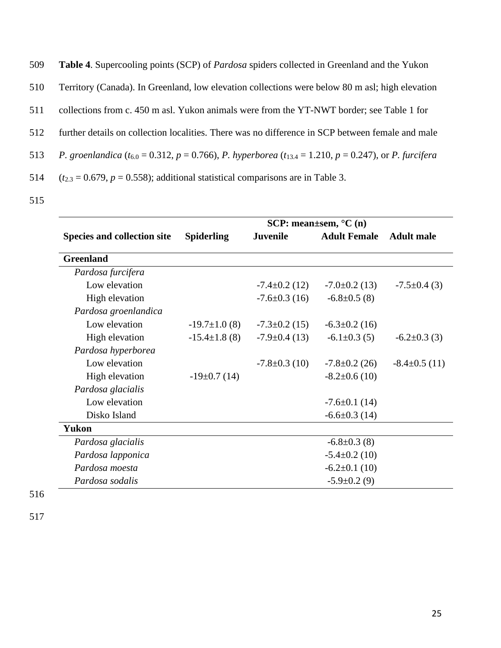| 509 | <b>Table 4.</b> Supercooling points (SCP) of <i>Pardosa</i> spiders collected in Greenland and the Yukon                                      |
|-----|-----------------------------------------------------------------------------------------------------------------------------------------------|
| 510 | Territory (Canada). In Greenland, low elevation collections were below 80 m asl; high elevation                                               |
| 511 | collections from c. 450 m asl. Yukon animals were from the YT-NWT border; see Table 1 for                                                     |
| 512 | further details on collection localities. There was no difference in SCP between female and male                                              |
| 513 | <i>P. groenlandica</i> ( $t_{6.0} = 0.312$ , $p = 0.766$ ), <i>P. hyperborea</i> ( $t_{13.4} = 1.210$ , $p = 0.247$ ), or <i>P. furcifera</i> |
| 514 | $(t_{2,3} = 0.679, p = 0.558)$ ; additional statistical comparisons are in Table 3.                                                           |

|                                    |                     |                     | SCP: mean $\pm$ sem, $^{\circ}$ C $(n)$ |                    |
|------------------------------------|---------------------|---------------------|-----------------------------------------|--------------------|
| <b>Species and collection site</b> | <b>Spiderling</b>   | <b>Juvenile</b>     | <b>Adult Female</b>                     | <b>Adult</b> male  |
| <b>Greenland</b>                   |                     |                     |                                         |                    |
| Pardosa furcifera                  |                     |                     |                                         |                    |
| Low elevation                      |                     | $-7.4 \pm 0.2$ (12) | $-7.0 \pm 0.2$ (13)                     | $-7.5 \pm 0.4$ (3) |
| High elevation                     |                     | $-7.6 \pm 0.3$ (16) | $-6.8 \pm 0.5$ (8)                      |                    |
| Pardosa groenlandica               |                     |                     |                                         |                    |
| Low elevation                      | $-19.7 \pm 1.0$ (8) | $-7.3 \pm 0.2$ (15) | $-6.3 \pm 0.2$ (16)                     |                    |
| High elevation                     | $-15.4 \pm 1.8$ (8) | $-7.9 \pm 0.4$ (13) | $-6.1 \pm 0.3$ (5)                      | $-6.2 \pm 0.3$ (3) |
| Pardosa hyperborea                 |                     |                     |                                         |                    |
| Low elevation                      |                     | $-7.8 \pm 0.3$ (10) | $-7.8 \pm 0.2$ (26)                     | $-8.4\pm0.5(11)$   |
| High elevation                     | $-19\pm0.7(14)$     |                     | $-8.2 \pm 0.6$ (10)                     |                    |
| Pardosa glacialis                  |                     |                     |                                         |                    |
| Low elevation                      |                     |                     | $-7.6 \pm 0.1$ (14)                     |                    |
| Disko Island                       |                     |                     | $-6.6 \pm 0.3$ (14)                     |                    |
| <b>Yukon</b>                       |                     |                     |                                         |                    |
| Pardosa glacialis                  |                     |                     | $-6.8 \pm 0.3$ (8)                      |                    |
| Pardosa lapponica                  |                     |                     | $-5.4 \pm 0.2$ (10)                     |                    |
| Pardosa moesta                     |                     |                     | $-6.2 \pm 0.1$ (10)                     |                    |
| Pardosa sodalis                    |                     |                     | $-5.9 \pm 0.2$ (9)                      |                    |

516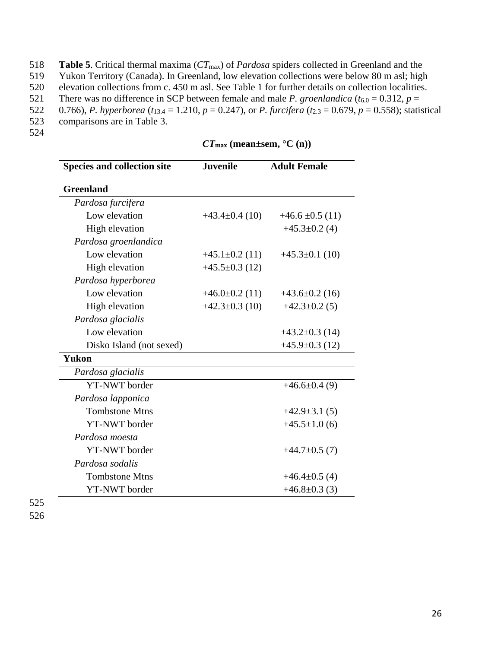- 518 **Table 5**. Critical thermal maxima (*CT*max) of *Pardosa* spiders collected in Greenland and the
- 519 Yukon Territory (Canada). In Greenland, low elevation collections were below 80 m asl; high
- 520 elevation collections from c. 450 m asl. See Table 1 for further details on collection localities.
- 521 There was no difference in SCP between female and male *P. groenlandica*  $(t_{6.0} = 0.312, p =$
- 522 0.766), *P. hyperborea* ( $t_{13.4} = 1.210$ ,  $p = 0.247$ ), or *P. furcifera* ( $t_{2.3} = 0.679$ ,  $p = 0.558$ ); statistical
- 523 comparisons are in Table 3.
- 524

| <b>Species and collection site</b> | <b>Juvenile</b>    | <b>Adult Female</b>  |
|------------------------------------|--------------------|----------------------|
| <b>Greenland</b>                   |                    |                      |
| Pardosa furcifera                  |                    |                      |
| Low elevation                      | $+43.4\pm0.4(10)$  | $+46.6 \pm 0.5$ (11) |
| High elevation                     |                    | $+45.3\pm0.2$ (4)    |
| Pardosa groenlandica               |                    |                      |
| Low elevation                      | $+45.1\pm0.2$ (11) | $+45.3\pm0.1(10)$    |
| High elevation                     | $+45.5\pm0.3(12)$  |                      |
| Pardosa hyperborea                 |                    |                      |
| Low elevation                      | $+46.0\pm0.2$ (11) | $+43.6\pm0.2$ (16)   |
| High elevation                     | $+42.3\pm0.3(10)$  | $+42.3 \pm 0.2$ (5)  |
| Pardosa glacialis                  |                    |                      |
| Low elevation                      |                    | $+43.2\pm0.3$ (14)   |
| Disko Island (not sexed)           |                    | $+45.9\pm0.3(12)$    |
| <b>Yukon</b>                       |                    |                      |
| Pardosa glacialis                  |                    |                      |
| YT-NWT border                      |                    | $+46.6\pm0.4(9)$     |
| Pardosa lapponica                  |                    |                      |
| <b>Tombstone Mtns</b>              |                    | $+42.9\pm3.1(5)$     |
| <b>YT-NWT</b> border               |                    | $+45.5 \pm 1.0$ (6)  |
| Pardosa moesta                     |                    |                      |
| YT-NWT border                      |                    | $+44.7\pm0.5(7)$     |
| Pardosa sodalis                    |                    |                      |
| <b>Tombstone Mtns</b>              |                    | $+46.4\pm0.5(4)$     |
| <b>YT-NWT</b> border               |                    | $+46.8\pm0.3$ (3)    |

*CT***max (mean±sem, °C (n))**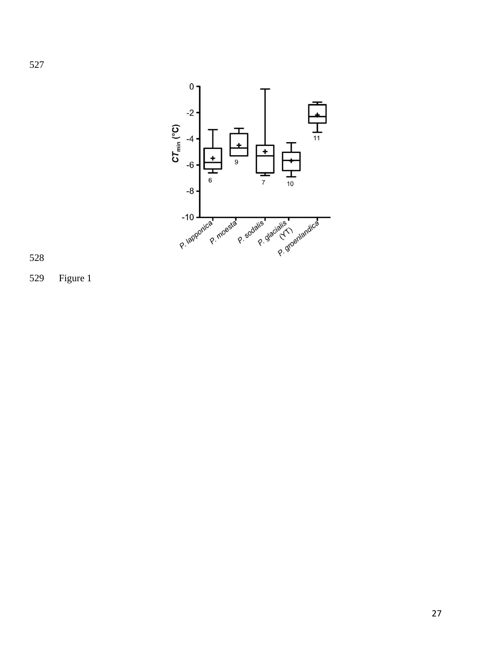



Figure 1